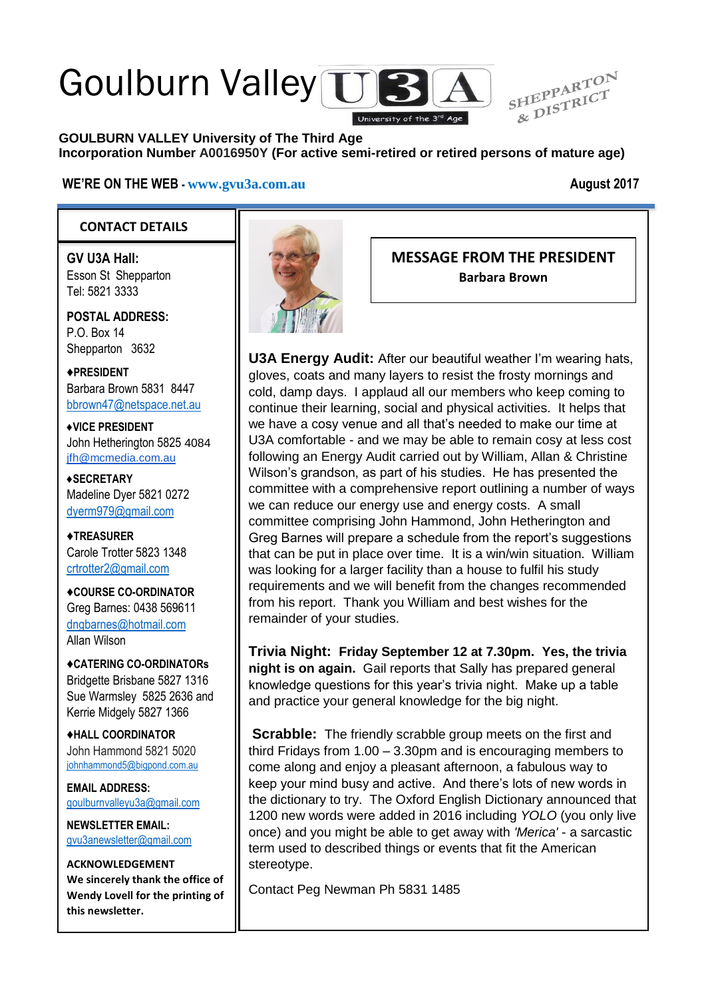# Goulburn Valley TTE

HEPPARICT<sub>8</sub> **GOULBURN VALLEY University of The Third Age Incorporation Number A0016950Y (For active semi-retired or retired persons of mature age)**

#### **WE'RE ON THE WEB - [www.gvu3a.com.au](http://www.gvu3a.com.au/) August 2017**

SHEPPARTON

#### **CONTACT DETAILS**

**GV U3A Hall:** Esson St Shepparton Tel: 5821 3333

**POSTAL ADDRESS:** P.O. Box 14 Shepparton 3632

♦**PRESIDENT** Barbara Brown 5831 8447 [bbrown47@netspace.net.au](mailto:bbrown47@netspace.net.au)

**♦VICE PRESIDENT** John Hetherington 5825 4084 [jfh@mcmedia.com.au](mailto:jfh@mcmedia.com.au)

**♦SECRETARY** Madeline Dyer 5821 0272 [dyerm979@gmail.com](mailto:dyerm979@gmail.com)

♦**TREASURER** Carole Trotter 5823 1348 crtrotter2@gmail.com

♦**COURSE CO-ORDINATOR** Greg Barnes: 0438 569611 [dngbarnes@hotmail.com](mailto:dngbarnes@hotmail.com) Allan Wilson

♦**CATERING CO-ORDINATORs** Bridgette Brisbane 5827 1316 Sue Warmsley 5825 2636 and Kerrie Midgely 5827 1366

♦**HALL COORDINATOR** John Hammond 5821 5020 [johnhammond5@bigpond.com.au](mailto:johnhammond5@bigpond.com.au)

**EMAIL ADDRESS:** [goulburnvalleyu3a@gmail.com](mailto:goulburnvalleyu3a@gmail.com)

**NEWSLETTER EMAIL:** [gvu3anewsletter@gmail.com](mailto:gvu3anewsletter@gmail.com)

**ACKNOWLEDGEMENT We sincerely thank the office of Wendy Lovell for the printing of this newsletter.**



**MESSAGE FROM THE PRESIDENT Barbara Brown**

**U3A Energy Audit:** After our beautiful weather I'm wearing hats, gloves, coats and many layers to resist the frosty mornings and cold, damp days. I applaud all our members who keep coming to continue their learning, social and physical activities. It helps that we have a cosy venue and all that's needed to make our time at U3A comfortable - and we may be able to remain cosy at less cost following an Energy Audit carried out by William, Allan & Christine Wilson's grandson, as part of his studies. He has presented the committee with a comprehensive report outlining a number of ways we can reduce our energy use and energy costs. A small committee comprising John Hammond, John Hetherington and Greg Barnes will prepare a schedule from the report's suggestions that can be put in place over time. It is a win/win situation. William was looking for a larger facility than a house to fulfil his study requirements and we will benefit from the changes recommended from his report. Thank you William and best wishes for the remainder of your studies.

**Trivia Night: Friday September 12 at 7.30pm. Yes, the trivia night is on again.** Gail reports that Sally has prepared general knowledge questions for this year's trivia night. Make up a table and practice your general knowledge for the big night.

**Scrabble:** The friendly scrabble group meets on the first and third Fridays from 1.00 – 3.30pm and is encouraging members to come along and enjoy a pleasant afternoon, a fabulous way to keep your mind busy and active. And there's lots of new words in the dictionary to try. The Oxford English Dictionary announced that 1200 new words were added in 2016 including *YOLO* (you only live once) and you might be able to get away with *'Merica'* - a sarcastic term used to described things or events that fit the American stereotype.

Contact Peg Newman Ph 5831 1485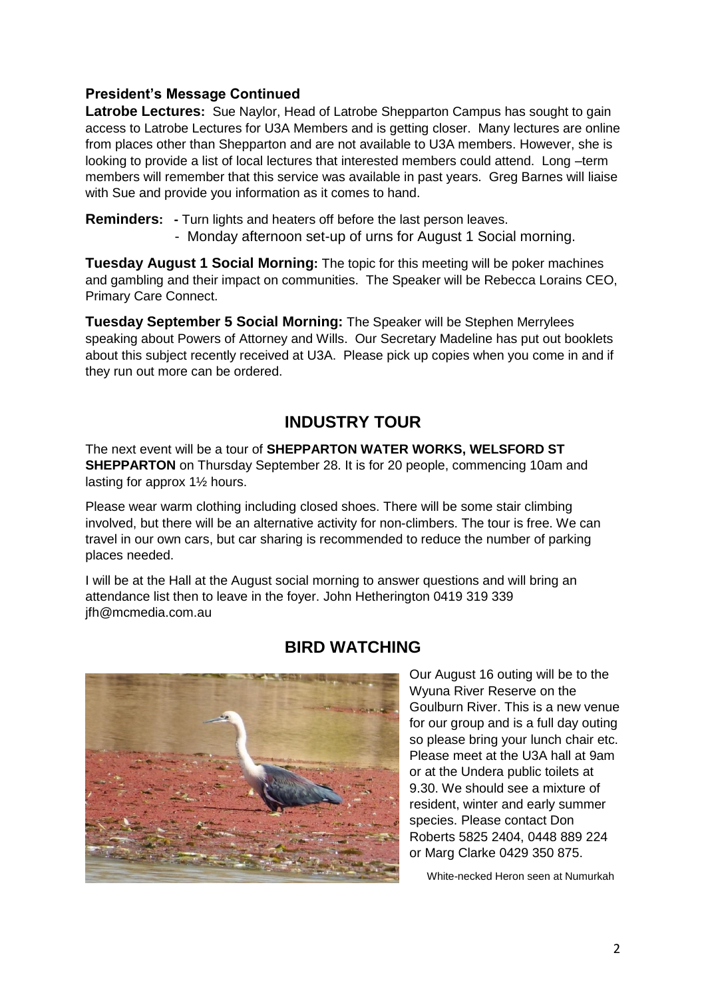#### **President's Message Continued**

**Latrobe Lectures:** Sue Naylor, Head of Latrobe Shepparton Campus has sought to gain access to Latrobe Lectures for U3A Members and is getting closer. Many lectures are online from places other than Shepparton and are not available to U3A members. However, she is looking to provide a list of local lectures that interested members could attend. Long –term members will remember that this service was available in past years. Greg Barnes will liaise with Sue and provide you information as it comes to hand.

**Reminders: -** Turn lights and heaters off before the last person leaves.

- Monday afternoon set-up of urns for August 1 Social morning.

**Tuesday August 1 Social Morning:** The topic for this meeting will be poker machines and gambling and their impact on communities. The Speaker will be Rebecca Lorains CEO, Primary Care Connect.

**Tuesday September 5 Social Morning:** The Speaker will be Stephen Merrylees speaking about Powers of Attorney and Wills. Our Secretary Madeline has put out booklets about this subject recently received at U3A. Please pick up copies when you come in and if they run out more can be ordered.

# **INDUSTRY TOUR**

The next event will be a tour of **SHEPPARTON WATER WORKS, WELSFORD ST SHEPPARTON** on Thursday September 28. It is for 20 people, commencing 10am and lasting for approx 1½ hours.

Please wear warm clothing including closed shoes. There will be some stair climbing involved, but there will be an alternative activity for non-climbers. The tour is free. We can travel in our own cars, but car sharing is recommended to reduce the number of parking places needed.

I will be at the Hall at the August social morning to answer questions and will bring an attendance list then to leave in the foyer. John Hetherington 0419 319 339 jfh@mcmedia.com.au



#### **BIRD WATCHING**

Our August 16 outing will be to the Wyuna River Reserve on the Goulburn River. This is a new venue for our group and is a full day outing so please bring your lunch chair etc. Please meet at the U3A hall at 9am or at the Undera public toilets at 9.30. We should see a mixture of resident, winter and early summer species. Please contact Don Roberts 5825 2404, 0448 889 224 or Marg Clarke 0429 350 875.

White-necked Heron seen at Numurkah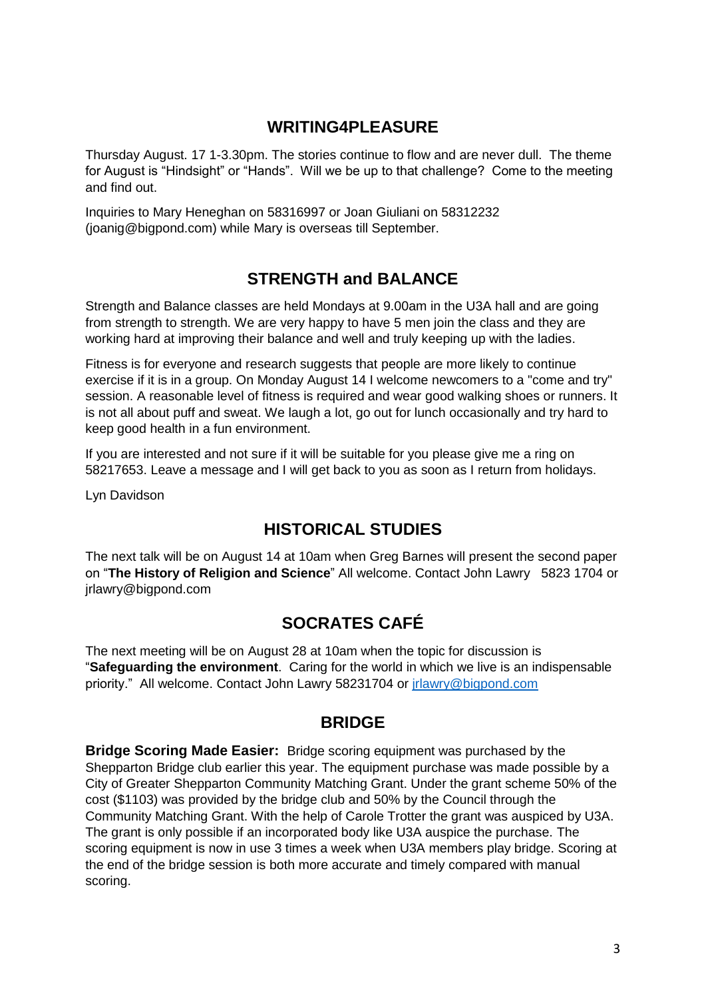## **WRITING4PLEASURE**

Thursday August. 17 1-3.30pm. The stories continue to flow and are never dull. The theme for August is "Hindsight" or "Hands". Will we be up to that challenge? Come to the meeting and find out.

Inquiries to Mary Heneghan on 58316997 or Joan Giuliani on 58312232 (joanig@bigpond.com) while Mary is overseas till September.

# **STRENGTH and BALANCE**

Strength and Balance classes are held Mondays at 9.00am in the U3A hall and are going from strength to strength. We are very happy to have 5 men join the class and they are working hard at improving their balance and well and truly keeping up with the ladies.

Fitness is for everyone and research suggests that people are more likely to continue exercise if it is in a group. On Monday August 14 I welcome newcomers to a "come and try" session. A reasonable level of fitness is required and wear good walking shoes or runners. It is not all about puff and sweat. We laugh a lot, go out for lunch occasionally and try hard to keep good health in a fun environment.

If you are interested and not sure if it will be suitable for you please give me a ring on 58217653. Leave a message and I will get back to you as soon as I return from holidays.

Lyn Davidson

# **HISTORICAL STUDIES**

The next talk will be on August 14 at 10am when Greg Barnes will present the second paper on "**The History of Religion and Science**" All welcome. Contact John Lawry 5823 1704 or jrlawry@bigpond.com

# **SOCRATES CAFÉ**

The next meeting will be on August 28 at 10am when the topic for discussion is "**Safeguarding the environment**. Caring for the world in which we live is an indispensable priority." All welcome. Contact John Lawry 58231704 or [jrlawry@bigpond.com](mailto:jrlawry@bigpond.com)

#### **BRIDGE**

**Bridge Scoring Made Easier:** Bridge scoring equipment was purchased by the Shepparton Bridge club earlier this year. The equipment purchase was made possible by a City of Greater Shepparton Community Matching Grant. Under the grant scheme 50% of the cost (\$1103) was provided by the bridge club and 50% by the Council through the Community Matching Grant. With the help of Carole Trotter the grant was auspiced by U3A. The grant is only possible if an incorporated body like U3A auspice the purchase. The scoring equipment is now in use 3 times a week when U3A members play bridge. Scoring at the end of the bridge session is both more accurate and timely compared with manual scoring.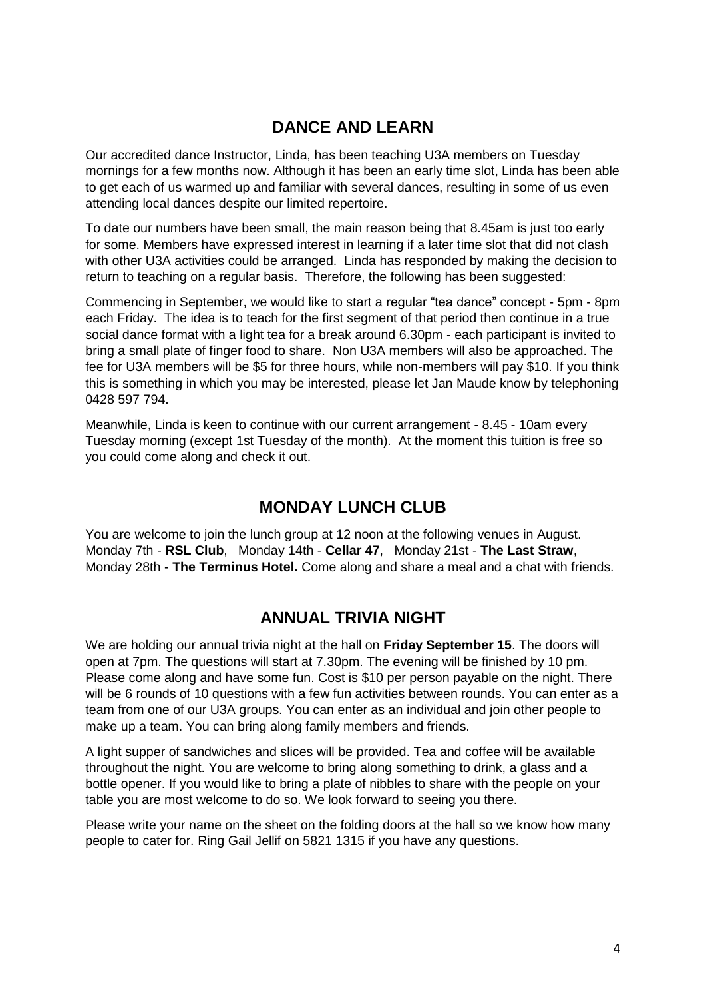## **DANCE AND LEARN**

Our accredited dance Instructor, Linda, has been teaching U3A members on Tuesday mornings for a few months now. Although it has been an early time slot, Linda has been able to get each of us warmed up and familiar with several dances, resulting in some of us even attending local dances despite our limited repertoire.

To date our numbers have been small, the main reason being that 8.45am is just too early for some. Members have expressed interest in learning if a later time slot that did not clash with other U3A activities could be arranged. Linda has responded by making the decision to return to teaching on a regular basis. Therefore, the following has been suggested:

Commencing in September, we would like to start a regular "tea dance" concept - 5pm - 8pm each Friday. The idea is to teach for the first segment of that period then continue in a true social dance format with a light tea for a break around 6.30pm - each participant is invited to bring a small plate of finger food to share. Non U3A members will also be approached. The fee for U3A members will be \$5 for three hours, while non-members will pay \$10. If you think this is something in which you may be interested, please let Jan Maude know by telephoning 0428 597 794.

Meanwhile, Linda is keen to continue with our current arrangement - 8.45 - 10am every Tuesday morning (except 1st Tuesday of the month). At the moment this tuition is free so you could come along and check it out.

#### **MONDAY LUNCH CLUB**

You are welcome to join the lunch group at 12 noon at the following venues in August. Monday 7th - **RSL Club**, Monday 14th - **Cellar 47**, Monday 21st - **The Last Straw**, Monday 28th - **The Terminus Hotel.** Come along and share a meal and a chat with friends.

#### **ANNUAL TRIVIA NIGHT**

We are holding our annual trivia night at the hall on **Friday September 15**. The doors will open at 7pm. The questions will start at 7.30pm. The evening will be finished by 10 pm. Please come along and have some fun. Cost is \$10 per person payable on the night. There will be 6 rounds of 10 questions with a few fun activities between rounds. You can enter as a team from one of our U3A groups. You can enter as an individual and join other people to make up a team. You can bring along family members and friends.

A light supper of sandwiches and slices will be provided. Tea and coffee will be available throughout the night. You are welcome to bring along something to drink, a glass and a bottle opener. If you would like to bring a plate of nibbles to share with the people on your table you are most welcome to do so. We look forward to seeing you there.

Please write your name on the sheet on the folding doors at the hall so we know how many people to cater for. Ring Gail Jellif on 5821 1315 if you have any questions.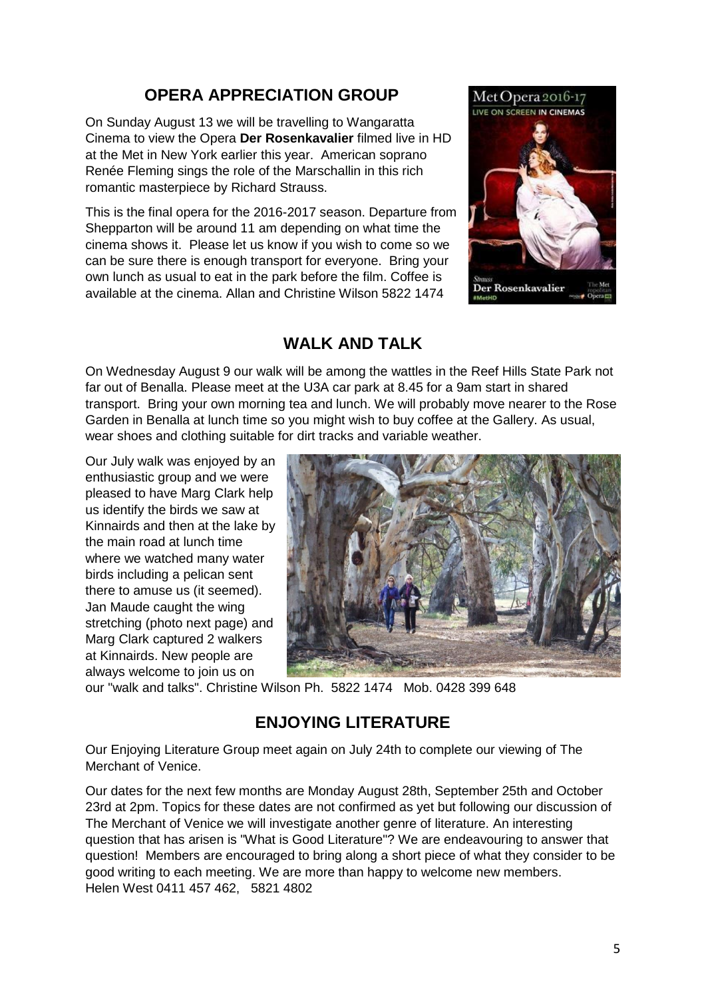# **OPERA APPRECIATION GROUP**

On Sunday August 13 we will be travelling to Wangaratta Cinema to view the Opera **Der Rosenkavalier** filmed live in HD at the Met in New York earlier this year. American soprano Renée Fleming sings the role of the Marschallin in this rich romantic masterpiece by Richard Strauss.

This is the final opera for the 2016-2017 season. Departure from Shepparton will be around 11 am depending on what time the cinema shows it. Please let us know if you wish to come so we can be sure there is enough transport for everyone. Bring your own lunch as usual to eat in the park before the film. Coffee is available at the cinema. Allan and Christine Wilson 5822 1474



### **WALK AND TALK**

On Wednesday August 9 our walk will be among the wattles in the Reef Hills State Park not far out of Benalla. Please meet at the U3A car park at 8.45 for a 9am start in shared transport. Bring your own morning tea and lunch. We will probably move nearer to the Rose Garden in Benalla at lunch time so you might wish to buy coffee at the Gallery. As usual, wear shoes and clothing suitable for dirt tracks and variable weather.

Our July walk was enjoyed by an enthusiastic group and we were pleased to have Marg Clark help us identify the birds we saw at Kinnairds and then at the lake by the main road at lunch time where we watched many water birds including a pelican sent there to amuse us (it seemed). Jan Maude caught the wing stretching (photo next page) and Marg Clark captured 2 walkers at Kinnairds. New people are always welcome to join us on



our "walk and talks". Christine Wilson Ph. 5822 1474 Mob. 0428 399 648

#### **ENJOYING LITERATURE**

Our Enjoying Literature Group meet again on July 24th to complete our viewing of The Merchant of Venice.

Our dates for the next few months are Monday August 28th, September 25th and October 23rd at 2pm. Topics for these dates are not confirmed as yet but following our discussion of The Merchant of Venice we will investigate another genre of literature. An interesting question that has arisen is "What is Good Literature"? We are endeavouring to answer that question! Members are encouraged to bring along a short piece of what they consider to be good writing to each meeting. We are more than happy to welcome new members. Helen West 0411 457 462, 5821 4802